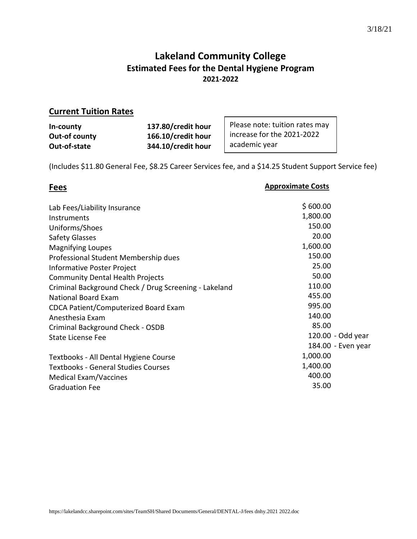# **Lakeland Community College Estimated Fees for the Dental Hygiene Program 2021-2022**

 $\Gamma$ 

# **Current Tuition Rates**

| In-county     | 137.80/credit hour | Please note: tuition rates may |
|---------------|--------------------|--------------------------------|
| Out-of county | 166.10/credit hour | increase for the 2021-2022     |
| Out-of-state  | 344.10/credit hour | academic year                  |

(Includes \$11.80 General Fee, \$8.25 Career Services fee, and a \$14.25 Student Support Service fee)

# **Fees**

### **Approximate Costs**

 $\overline{\phantom{a}}$ 

| Lab Fees/Liability Insurance                          | \$600.00           |
|-------------------------------------------------------|--------------------|
| Instruments                                           | 1,800.00           |
| Uniforms/Shoes                                        | 150.00             |
| <b>Safety Glasses</b>                                 | 20.00              |
| <b>Magnifying Loupes</b>                              | 1,600.00           |
| Professional Student Membership dues                  | 150.00             |
| Informative Poster Project                            | 25.00              |
| <b>Community Dental Health Projects</b>               | 50.00              |
| Criminal Background Check / Drug Screening - Lakeland | 110.00             |
| <b>National Board Exam</b>                            | 455.00             |
| CDCA Patient/Computerized Board Exam                  | 995.00             |
| Anesthesia Exam                                       | 140.00             |
| Criminal Background Check - OSDB                      | 85.00              |
| <b>State License Fee</b>                              | 120.00 - Odd year  |
|                                                       | 184.00 - Even year |
| Textbooks - All Dental Hygiene Course                 | 1,000.00           |
| <b>Textbooks - General Studies Courses</b>            | 1,400.00           |
| Medical Exam/Vaccines                                 | 400.00             |
| <b>Graduation Fee</b>                                 | 35.00              |
|                                                       |                    |